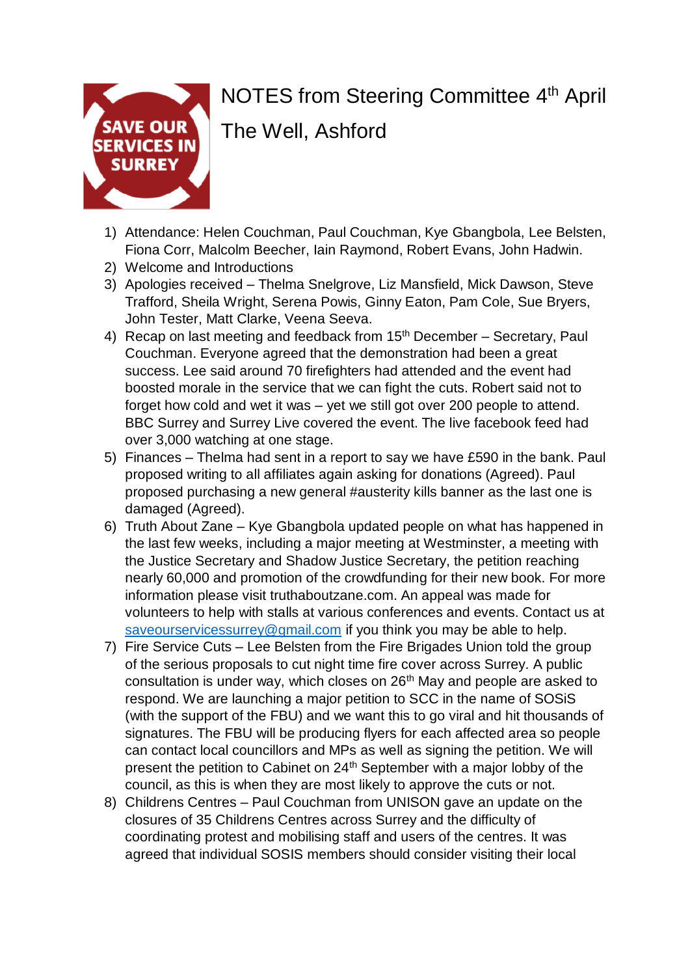

## NOTES from Steering Committee 4<sup>th</sup> April

The Well, Ashford

- 1) Attendance: Helen Couchman, Paul Couchman, Kye Gbangbola, Lee Belsten, Fiona Corr, Malcolm Beecher, Iain Raymond, Robert Evans, John Hadwin.
- 2) Welcome and Introductions
- 3) Apologies received Thelma Snelgrove, Liz Mansfield, Mick Dawson, Steve Trafford, Sheila Wright, Serena Powis, Ginny Eaton, Pam Cole, Sue Bryers, John Tester, Matt Clarke, Veena Seeva.
- 4) Recap on last meeting and feedback from  $15<sup>th</sup>$  December Secretary, Paul Couchman. Everyone agreed that the demonstration had been a great success. Lee said around 70 firefighters had attended and the event had boosted morale in the service that we can fight the cuts. Robert said not to forget how cold and wet it was – yet we still got over 200 people to attend. BBC Surrey and Surrey Live covered the event. The live facebook feed had over 3,000 watching at one stage.
- 5) Finances Thelma had sent in a report to say we have £590 in the bank. Paul proposed writing to all affiliates again asking for donations (Agreed). Paul proposed purchasing a new general #austerity kills banner as the last one is damaged (Agreed).
- 6) Truth About Zane Kye Gbangbola updated people on what has happened in the last few weeks, including a major meeting at Westminster, a meeting with the Justice Secretary and Shadow Justice Secretary, the petition reaching nearly 60,000 and promotion of the crowdfunding for their new book. For more information please visit truthaboutzane.com. An appeal was made for volunteers to help with stalls at various conferences and events. Contact us at [saveourservicessurrey@gmail.com](mailto:saveourservicessurrey@gmail.com) if you think you may be able to help.
- 7) Fire Service Cuts Lee Belsten from the Fire Brigades Union told the group of the serious proposals to cut night time fire cover across Surrey. A public consultation is under way, which closes on 26<sup>th</sup> May and people are asked to respond. We are launching a major petition to SCC in the name of SOSiS (with the support of the FBU) and we want this to go viral and hit thousands of signatures. The FBU will be producing flyers for each affected area so people can contact local councillors and MPs as well as signing the petition. We will present the petition to Cabinet on 24<sup>th</sup> September with a major lobby of the council, as this is when they are most likely to approve the cuts or not.
- 8) Childrens Centres Paul Couchman from UNISON gave an update on the closures of 35 Childrens Centres across Surrey and the difficulty of coordinating protest and mobilising staff and users of the centres. It was agreed that individual SOSIS members should consider visiting their local